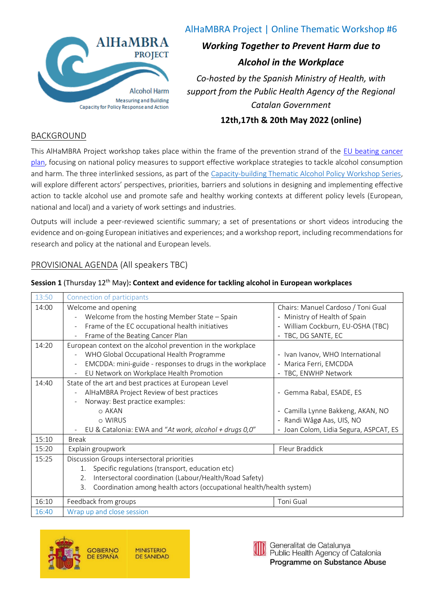

# AlHaMBRA Project | Online Thematic Workshop #6

# *Working Together to Prevent Harm due to Alcohol in the Workplace*

*Co-hosted by the Spanish Ministry of Health, with support from the Public Health Agency of the Regional Catalan Government*

**12th,17th & 20th May 2022 (online)**

## BACKGROUND

This AlHaMBRA Project workshop takes place within the frame of the prevention strand of the EU beating cancer [plan,](https://ec.europa.eu/info/strategy/priorities-2019-2024/promoting-our-european-way-life/european-health-union/cancer-plan-europe_en) focusing on national policy measures to support effective workplace strategies to tackle alcohol consumption and harm. The three interlinked sessions, as part of the [Capacity-building Thematic Alcohol Policy Workshop Series,](https://www.deep-seas.eu/capacity-building/) will explore different actors' perspectives, priorities, barriers and solutions in designing and implementing effective action to tackle alcohol use and promote safe and healthy working contexts at different policy levels (European, national and local) and a variety of work settings and industries.

Outputs will include a peer-reviewed scientific summary; a set of presentations or short videos introducing the evidence and on-going European initiatives and experiences; and a workshop report, including recommendations for research and policy at the national and European levels.

## PROVISIONAL AGENDA (All speakers TBC)

#### **Session 1** (Thursday 12th May)**: Context and evidence for tackling alcohol in European workplaces**

| 13:50 | Connection of participants                                                           |                                                        |  |
|-------|--------------------------------------------------------------------------------------|--------------------------------------------------------|--|
| 14:00 | Welcome and opening                                                                  | Chairs: Manuel Cardoso / Toni Gual                     |  |
|       | Welcome from the hosting Member State - Spain                                        | Ministry of Health of Spain                            |  |
|       | Frame of the EC occupational health initiatives                                      | - William Cockburn, EU-OSHA (TBC)                      |  |
|       | Frame of the Beating Cancer Plan                                                     | TBC, DG SANTE, EC                                      |  |
| 14:20 | European context on the alcohol prevention in the workplace                          |                                                        |  |
|       | WHO Global Occupational Health Programme                                             | - Ivan Ivanov, WHO International                       |  |
|       | EMCDDA: mini-guide - responses to drugs in the workplace<br>$\overline{\phantom{a}}$ | - Marica Ferri, EMCDDA                                 |  |
|       | EU Network on Workplace Health Promotion                                             | - TBC, ENWHP Network                                   |  |
| 14:40 | State of the art and best practices at European Level                                |                                                        |  |
|       | AlHaMBRA Project Review of best practices                                            | - Gemma Rabal, ESADE, ES                               |  |
|       | Norway: Best practice examples:                                                      |                                                        |  |
|       | o AKAN                                                                               | - Camilla Lynne Bakkeng, AKAN, NO                      |  |
|       | o WIRUS                                                                              | Randi Wågø Aas, UIS, NO                                |  |
|       | EU & Catalonia: EWA and "At work, alcohol + drugs 0,0"                               | Joan Colom, Lidia Segura, ASPCAT, ES<br>$\blacksquare$ |  |
| 15:10 | <b>Break</b>                                                                         |                                                        |  |
| 15:20 | Explain groupwork                                                                    | Fleur Braddick                                         |  |
| 15:25 | Discussion Groups intersectoral priorities                                           |                                                        |  |
|       | Specific regulations (transport, education etc)<br>1.                                |                                                        |  |
|       | Intersectoral coordination (Labour/Health/Road Safety)<br>2.                         |                                                        |  |
|       | Coordination among health actors (occupational health/health system)<br>3.           |                                                        |  |
| 16:10 | Feedback from groups                                                                 | Toni Gual                                              |  |
| 16:40 | Wrap up and close session                                                            |                                                        |  |